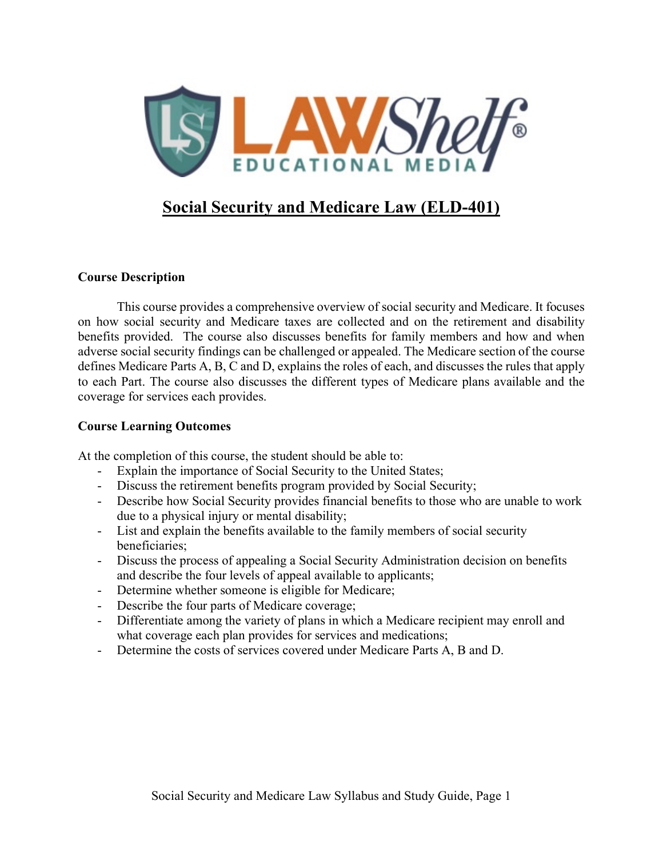

# **Social Security and Medicare Law (ELD-401)**

### **Course Description**

This course provides a comprehensive overview of social security and Medicare. It focuses on how social security and Medicare taxes are collected and on the retirement and disability benefits provided. The course also discusses benefits for family members and how and when adverse social security findings can be challenged or appealed. The Medicare section of the course defines Medicare Parts A, B, C and D, explains the roles of each, and discusses the rules that apply to each Part. The course also discusses the different types of Medicare plans available and the coverage for services each provides.

### **Course Learning Outcomes**

At the completion of this course, the student should be able to:

- Explain the importance of Social Security to the United States;
- Discuss the retirement benefits program provided by Social Security;
- Describe how Social Security provides financial benefits to those who are unable to work due to a physical injury or mental disability;
- List and explain the benefits available to the family members of social security beneficiaries;
- Discuss the process of appealing a Social Security Administration decision on benefits and describe the four levels of appeal available to applicants;
- Determine whether someone is eligible for Medicare;
- Describe the four parts of Medicare coverage;
- Differentiate among the variety of plans in which a Medicare recipient may enroll and what coverage each plan provides for services and medications;
- Determine the costs of services covered under Medicare Parts A, B and D.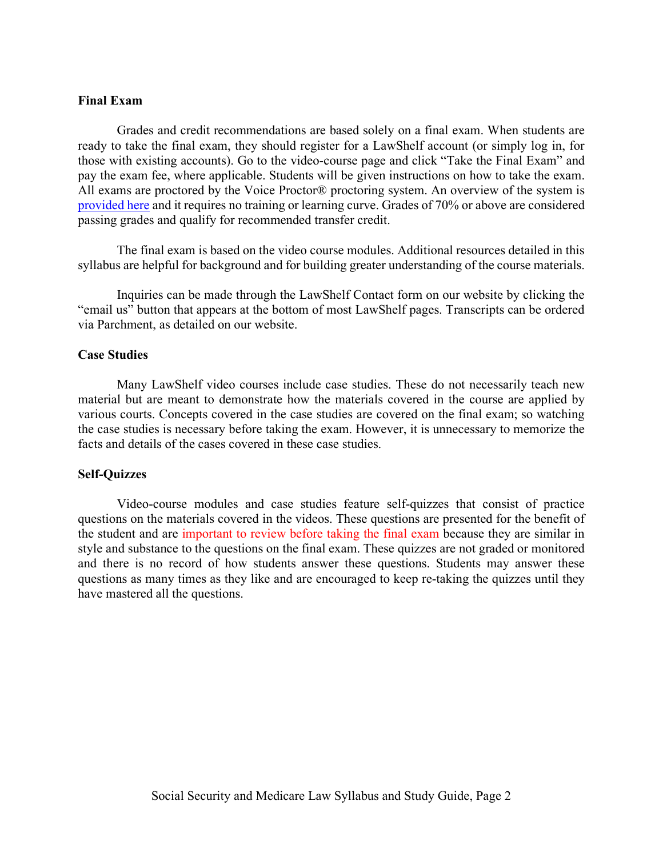#### **Final Exam**

Grades and credit recommendations are based solely on a final exam. When students are ready to take the final exam, they should register for a LawShelf account (or simply log in, for those with existing accounts). Go to the video-course page and click "Take the Final Exam" and pay the exam fee, where applicable. Students will be given instructions on how to take the exam. All exams are proctored by the Voice Proctor® proctoring system. An overview of the system is [provided here](https://lawshelf.com/voiceproctorvideo) and it requires no training or learning curve. Grades of 70% or above are considered passing grades and qualify for recommended transfer credit.

The final exam is based on the video course modules. Additional resources detailed in this syllabus are helpful for background and for building greater understanding of the course materials.

Inquiries can be made through the LawShelf Contact form on our website by clicking the "email us" button that appears at the bottom of most LawShelf pages. Transcripts can be ordered via Parchment, as detailed on our website.

#### **Case Studies**

Many LawShelf video courses include case studies. These do not necessarily teach new material but are meant to demonstrate how the materials covered in the course are applied by various courts. Concepts covered in the case studies are covered on the final exam; so watching the case studies is necessary before taking the exam. However, it is unnecessary to memorize the facts and details of the cases covered in these case studies.

#### **Self-Quizzes**

Video-course modules and case studies feature self-quizzes that consist of practice questions on the materials covered in the videos. These questions are presented for the benefit of the student and are important to review before taking the final exam because they are similar in style and substance to the questions on the final exam. These quizzes are not graded or monitored and there is no record of how students answer these questions. Students may answer these questions as many times as they like and are encouraged to keep re-taking the quizzes until they have mastered all the questions.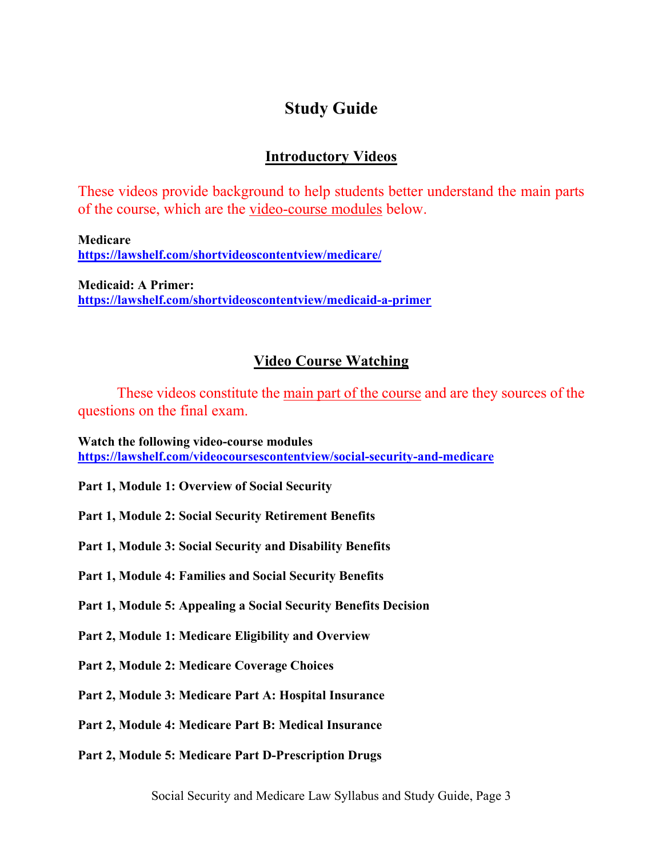# **Study Guide**

## **Introductory Videos**

These videos provide background to help students better understand the main parts of the course, which are the video-course modules below.

**Medicare <https://lawshelf.com/shortvideoscontentview/medicare/>**

**Medicaid: A Primer: <https://lawshelf.com/shortvideoscontentview/medicaid-a-primer>**

## **Video Course Watching**

These videos constitute the main part of the course and are they sources of the questions on the final exam.

**Watch the following video-course modules <https://lawshelf.com/videocoursescontentview/social-security-and-medicare>**

**Part 1, Module 1: Overview of Social Security**

**Part 1, Module 2: Social Security Retirement Benefits**

**Part 1, Module 3: Social Security and Disability Benefits**

**Part 1, Module 4: Families and Social Security Benefits**

**Part 1, Module 5: Appealing a Social Security Benefits Decision**

**Part 2, Module 1: Medicare Eligibility and Overview**

**Part 2, Module 2: Medicare Coverage Choices**

**Part 2, Module 3: Medicare Part A: Hospital Insurance**

**Part 2, Module 4: Medicare Part B: Medical Insurance**

**Part 2, Module 5: Medicare Part D-Prescription Drugs**

Social Security and Medicare Law Syllabus and Study Guide, Page 3